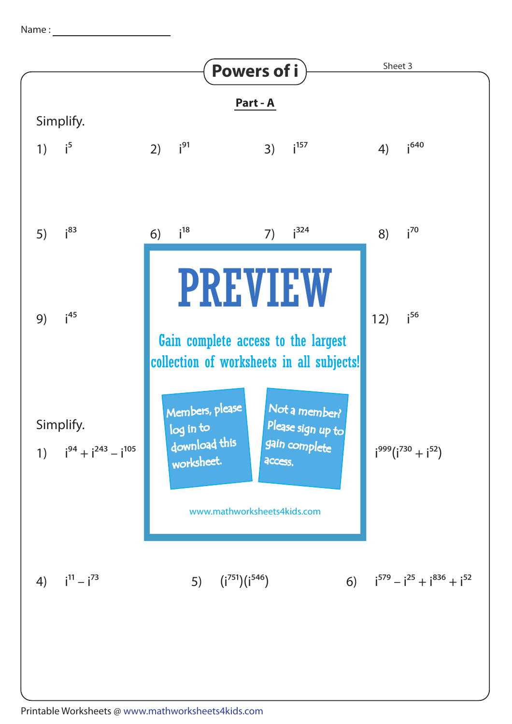